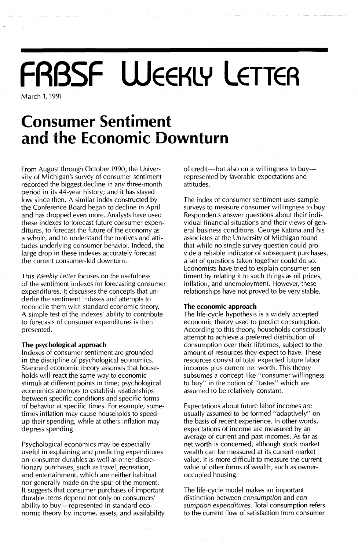## **FRBSF WEEKLY LETTER** March 1, 1991

### **Consumer Sentiment and the Economic Downturn**

From August through October 1990, the University of Michigan's survey of consumer sentiment recorded the biggest decline in any three-month period in its 44-year history; and it has stayed low since then. A similar index constructed by the Conference Board began to decline in April and has dropped even more. Analysts have used these indexes to forecast future consumer expenditures, to forecast the future of the economy as a whole, and to understand the motives and attitudes underlying consumer behavior. Indeed, the large drop in these indexes accurately forecast the current consumer-led downturn.

This *Weekly Letter* focuses on the usefulness of the sentiment indexes for forecasting consumer expenditures. It discusses the concepts that underlie the sentiment indexes and attempts to reconcile them with standard economic theory. A simple test of the indexes' ability to contribute to forecasts of consumer expenditures is then presented.

### **The psychological approach**

Indexes of consumer sentiment are grounded in the discipline of psychological economics. Standard economic theory assumes that households will react the same way to economic stimuli at different points in time; psychological economics attempts to establish relationships between specific conditions and specific forms of behavior at specific times. For example, sometimes inflation may cause households to speed up their spending, while at others inflation may depress spending.

Psychological economics may be especially useful in explaining and predicting expenditures on consumer durables as well as other discretionary purchases, such as travel, recreation, and entertainment, which are neither habitual nor generally made on the spur of the moment. It suggests that consumer purchases of important durable items depend not only on consumers' ability to buy-represented in standard economic theory by income, assets, and availability of credit—but also on a willingness to buy represented by favorable expectations and attitudes.

The index of consumer sentiment uses sample surveys to measure consumer willingness to buy. Respondents answer questions about their individual financial situations and their views of general business conditions. George Katona and his associates at the University of Michigan found that while no single survey question could provide a reliable indicator of subsequent purchases, a set of questions taken together could do so. Economists have tried to explain consumer sentiment by relating it to such things as oil prices, inflation, and unemployment. However, these relationships have not proved to be very stable.

#### **The economic approach**

The life-cycle hypothesis is a widely accepted economic theory used to predict consumption. According to this theory, households consciously attempt to achieve a preferred distribution of consumption over their lifetimes, subject to the amount of resources they expect to have. These resources consist of total expected future labor incomes plus current net worth. This theory subsumes a concept like "consumer willingness to buy" in the notion of "tastes" which are assumed to be relatively constant.

Expectations about future labor incomes are usually assumed to be formed "adaptively" on the basis of recent experience. In other words, expectations of income are measured by an average of current and past incomes. As far as net worth is concerned, although stock market wealth can be measured at its current market value, it is more difficult to measure the current value of other forms of wealth, such as owneroccupied housing.

The life-cycle model makes an important distinction between *consumption* and *consumption expenditures.* Total consumption refers to the current flow of satisfaction from consumer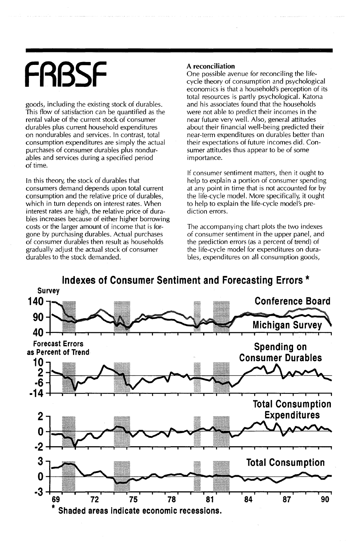# **FRBSF**

goods, including the existing stock of durables. This flow of satisfaction can be quantified as the rental value of the current stock of consumer durables plus current household expenditures on nondurables and services. In contrast, total consumption expenditures are simply the actual purchases of consumer durables plus nondurables and services during a specified period of time.

In this theory, the stock of durables that consumers demand depends upon total current consumption and the relative price of durables, which in turn depends on interest rates. When interest rates are high, the relative price of durables increases because of either higher borrowing costs or the larger amount of income that is forgone by purchasing durables. Actual purchases of consumer durables then result as households gradually adjust the actual stock of consumer **durables to the stock demanded.**

### A **reconciliation**

One possible avenue for reconciling the lifecycle theory of consumption and psychological economics is that a household's perception of its total resources is partly psychological. Katona and his associates found that the households were not able to predict their incomes in the near future very well. Also, general attitudes about their financial well-being predicted their near-term expenditures on durables better than their expectations of future incomes did. Consumer attitudes thus appear to be of some importance.

If consumer sentiment matters, then it ought to help to explain a portion of consumer spending at any point in time that is not accounted for by the life-cycle model. More specifically, it ought to help to explain the life-cycle model's prediction errors.

The accompanying chart plots the two indexes of consumer sentiment in the upper panel, and the prediction errors (as a percent of trend) of the life-cycle model for expenditures on durables, expenditures on all consumption goods,

**Indexes of Consumer Sentiment and Forecasting Errors \***

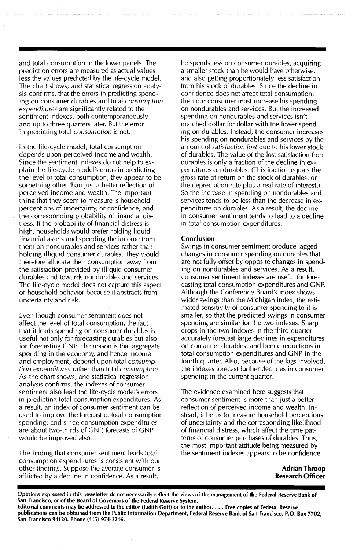and total consumption in the lower panels. The prediction errors are measured as actual values less the values predicted by the life-cycle model. The chart shows, and statistical regression analysis confirms, that the errors in predicting spending on consumer durables and total *consumption expenditures* are significantly related to the sentiment indexes, both contemporaneously and up to three quarters later. But the error in predicting total *consumption* is not.

In the life-cycle model, total consumption depends upon perceived income and wealth. Since the sentiment indexes do not help to explain the life-cycle model's errors in predicting the level of total consumption, they appear to be something other than just a better reflection of perceived income and wealth. The important thing that they seem to measure is household perceptions of uncertainty, or confidence, and the corresponding probability of financial distress. If the probability of financial distress is high, households would prefer holding liquid financial assets and spending the income from them on nondurables and services rather than holding illiquid consumer durables. They would therefore allocate their consumption away from the satisfaction provided by illiquid consumer durables and towards nondurables and services. The life-cycle model does not capture this aspect of household behavior because it abstracts from uncertainty and risk.

Even though consumer sentiment does not affect the level of total consumption, the fact that it leads spending on consumer durables is useful not only for forecasting durables but also for forecasting GNP. The reason is that aggregate spending in the economy, and hence income and employment, depend upon total *consumption expenditures* rather than total *consumption.* As the chart shows, and statistical regression analysis confirms, the indexes of consumer sentiment also lead the life-cycle model's errors in predicting total consumption expenditures. As a result, an index of consumer sentiment can be used to improve the forecast of total consumption spending; and since consumption expenditures are about two-thirds of GNP, forecasts of GNP would be improved also.

The finding that consumer sentiment leads total consumption expenditures is consistent with our other findings. Suppose the average consumer is afflicted by a decline in confidence. As a result,

he spends less on consumer durables, acquiring a smaller stock than he would have otherwise, and also getting proportionately less satisfaction from his stock of durables. Since the decline in confidence does not affect total consumption, then our consumer must increase his spending on nondurables and services. But the increased spending on nondurables and services isn't matched dollar for dollar with the lower spending on durables. Instead, the consumer increases his spending on nondurables and services by the amount of *satisfaction lost* due to his lower stock of durables. The value of the lost satisfaction from durables is only a fraction of the decline in expenditures on durables. (This fraction equals the gross rate of return on the stock of durables, or the depreciation rate plus a real rate of interest.) So the increase in spending on nondurables and services tends to be less than the decrease in expenditures on durables. As a result, the decline in consumer sentiment tends to lead to a decline in total consumption expenditures.

### **Conclusion**

Swings in consumer sentiment produce lagged changes in consumer spending on durables that are not fully offset by opposite changes in spending on nondurables and services. As a result, consumer sentiment indexes are useful for forecasting total consumption expenditures and GNP. Although the Conference Board's index shows wider swings than the Michigan index, the estimated sensitivity of consumer spending to it is smaller, so that the predicted swings in consumer spending are similar for the two indexes. Sharp drops in the two indexes in the third quarter accurately forecast large declines in expenditures on consumer durables, and hence reductions in total consumption expenditures and GNP in the fourth quarter. Also, because of the lags involved, the indexes forecast further declines in consumer spending in the current quarter.

The evidence examined here suggests that consumer sentiment is more than just a better reflection of perceived income and wealth. Instead, it helps to measure household perceptions of uncertainty and the corresponding likelihood of financial distress, which affect the time patterns of consumer purchases of durables. Thus, the most important attitude being measured by the sentiment indexes appears to be confidence.

> **Adrian Throop Research Officer**

Opinions expressed in this newsletter do not necessarily reflect the views of the management of the Federal Reserve Bank of San Francisco, or of the Board of Governors of the Federal Reserve System. Editorial comments may be addressed to the editor (Judith Goff) or to the author.... Free copies of Federal Reserve

publications can be obtained from the Public Information Department, Federal Reserve Bank of San Francisco, P.O. Box 7702, San Francisco 94120. Phone (415) 974-2246.